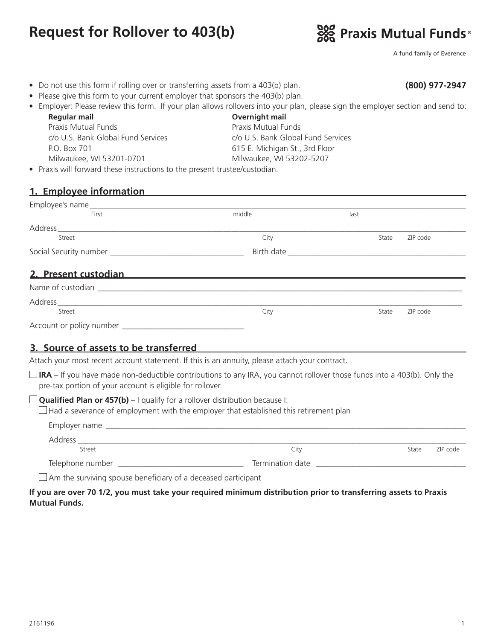# **Request for Rollover to 403(b)**



A fund family of Everence

**(800) 977-2947**

- Do not use this form if rolling over or transferring assets from a 403(b) plan.
- Please give this form to your current employer that sponsors the 403(b) plan.
- Employer: Please review this form. If your plan allows rollovers into your plan, please sign the employer section and send to: **Regular mail Overnight mail**

Praxis Mutual Funds c/o U.S. Bank Global Fund Services P.O. Box 701 Milwaukee, WI 53201-0701

Praxis Mutual Funds c/o U.S. Bank Global Fund Services 615 E. Michigan St., 3rd Floor Milwaukee, WI 53202-5207

• Praxis will forward these instructions to the present trustee/custodian.

#### **1. Employee information**

| First                                                                                                         | middle | last              |
|---------------------------------------------------------------------------------------------------------------|--------|-------------------|
|                                                                                                               |        |                   |
| Street                                                                                                        | City   | ZIP code<br>State |
|                                                                                                               |        |                   |
| 2. Present custodian                                                                                          |        |                   |
| Name of custodian and a state of custodian                                                                    |        |                   |
|                                                                                                               |        |                   |
| Street                                                                                                        | City   | ZIP code<br>State |
| 그 사람들은 그 사람들은 아이들이 아니라 아이들이 아니라 아이들이 아니라 아이들이 아니라 아이들이 아니라 아이들이 아니라 아이들이 아니라 아이들이 아니라 아니라 아니라 아니라 아니라 아니라 아니라 |        |                   |

Account or policy number \_

# **3. Source of assets to be transferred**

Attach your most recent account statement. If this is an annuity, please attach your contract.

 $\Box$  **IRA** – If you have made non-deductible contributions to any IRA, you cannot rollover those funds into a 403(b). Only the pre-tax portion of your account is eligible for rollover.

**Qualified Plan or 457(b)** – I qualify for a rollover distribution because I:

 $\Box$  Had a severance of employment with the employer that established this retirement plan

| Employer name    |                  |       |          |
|------------------|------------------|-------|----------|
| Address          |                  |       |          |
| Street           | City             | State | ZIP code |
| Telephone number | Termination date |       |          |

 $\Box$  Am the surviving spouse beneficiary of a deceased participant

#### **If you are over 70 1/2, you must take your required minimum distribution prior to transferring assets to Praxis Mutual Funds.**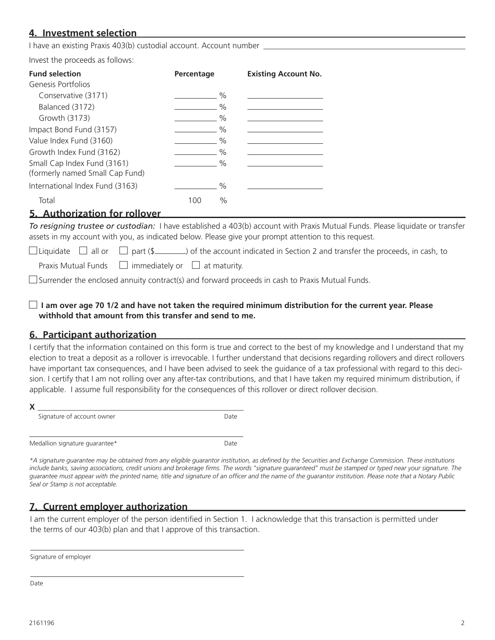# **4. Investment selection**

I have an existing Praxis 403(b) custodial account. Account number

Invest the proceeds as follows: 

| <b>Fund selection</b><br>Genesis Portfolios                    | Percentage | <b>Existing Account No.</b> |
|----------------------------------------------------------------|------------|-----------------------------|
| Conservative (3171)                                            |            | $\frac{0}{0}$               |
| Balanced (3172)                                                |            | $\%$                        |
| Growth (3173)                                                  |            | $\%$                        |
| Impact Bond Fund (3157)                                        |            | $\%$                        |
| Value Index Fund (3160)                                        |            | $\%$                        |
| Growth Index Fund (3162)                                       |            | $\%$                        |
| Small Cap Index Fund (3161)<br>(formerly named Small Cap Fund) |            | $\%$                        |
| International Index Fund (3163)                                |            | $\frac{0}{0}$               |
| Total                                                          | 1 ( ) ( )  | $\%$                        |

## **5. Authorization for rollover**

*To resigning trustee or custodian:* I have established a 403(b) account with Praxis Mutual Funds. Please liquidate or transfer assets in my account with you, as indicated below. Please give your prompt attention to this request.

 $\Box$  Liquidate  $\Box$  all or  $\Box$  part (\$ ) of the account indicated in Section 2 and transfer the proceeds, in cash, to

Praxis Mutual Funds  $\Box$  immediately or  $\Box$  at maturity.

 $\Box$  Surrender the enclosed annuity contract(s) and forward proceeds in cash to Praxis Mutual Funds.

#### **I am over age 70 1/2 and have not taken the required minimum distribution for the current year. Please withhold that amount from this transfer and send to me.**

### **6. Participant authorization**

I certify that the information contained on this form is true and correct to the best of my knowledge and I understand that my election to treat a deposit as a rollover is irrevocable. I further understand that decisions regarding rollovers and direct rollovers have important tax consequences, and I have been advised to seek the guidance of a tax professional with regard to this decision. I certify that I am not rolling over any after-tax contributions, and that I have taken my required minimum distribution, if applicable. I assume full responsibility for the consequences of this rollover or direct rollover decision.

| Signature of account owner     | Date        |
|--------------------------------|-------------|
| Medallion signature guarantee* | <b>Date</b> |

*\*A signature guarantee may be obtained from any eligible guarantor institution, as defined by the Securities and Exchange Commission. These institutions include banks, saving associations, credit unions and brokerage firms. The words "signature guaranteed" must be stamped or typed near your signature. The guarantee must appear with the printed name, title and signature of an officer and the name of the guarantor institution. Please note that a Notary Public Seal or Stamp is not acceptable.*

# **7. Current employer authorization**

I am the current employer of the person identified in Section 1. I acknowledge that this transaction is permitted under the terms of our 403(b) plan and that I approve of this transaction.

Signature of employer

Date